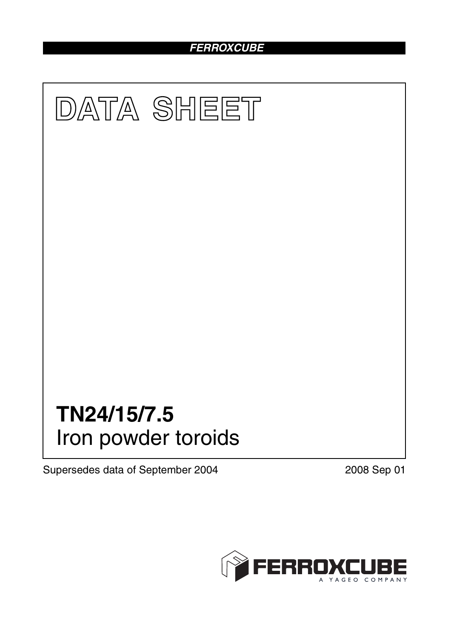# *FERROXCUBE*



Supersedes data of September 2004 2008 Sep 01

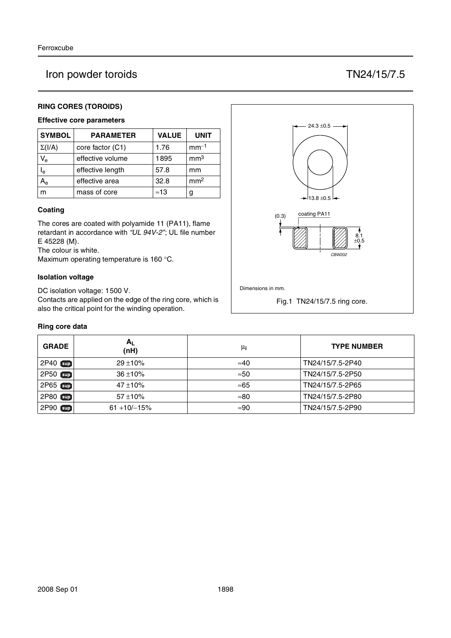# Iron powder toroids TN24/15/7.5

## **RING CORES (TOROIDS)**

# **Effective core parameters**

| <b>SYMBOL</b>  | <b>PARAMETER</b> | <b>VALUE</b> | <b>UNIT</b>     |
|----------------|------------------|--------------|-----------------|
| $\Sigma(I/A)$  | core factor (C1) | 1.76         | $mm-1$          |
| $V_{\rm e}$    | effective volume | 1895         | mm <sup>3</sup> |
| l <sub>e</sub> | effective length | 57.8         | mm              |
|                | effective area   | 32.8         | mm <sup>2</sup> |
| m              | mass of core     | $\approx 13$ | g               |

### **Coating**

The cores are coated with polyamide 11 (PA11), flame retardant in accordance with *"UL 94V-2"*; UL file number E 45228 (M).

The colour is white.

Maximum operating temperature is 160 °C.

### **Isolation voltage**

DC isolation voltage: 1500 V.

Contacts are applied on the edge of the ring core, which is also the critical point for the winding operation.

### **Ring core data**

| <b>GRADE</b>  | $A_{L}$<br>(nH) | μi           | <b>TYPE NUMBER</b> |
|---------------|-----------------|--------------|--------------------|
| $2P40$ sup    | $29 + 10%$      | $\approx 40$ | TN24/15/7.5-2P40   |
| $2P50$ sup    | $36 + 10%$      | $\approx 50$ | TN24/15/7.5-2P50   |
| 2P65 sup      | $47 + 10%$      | ≈65          | TN24/15/7.5-2P65   |
| 2P80 sup      | $57 + 10%$      | $\approx 80$ | TN24/15/7.5-2P80   |
| 2P90<br>[sup] | $61 + 10/-15%$  | $\approx 90$ | TN24/15/7.5-2P90   |